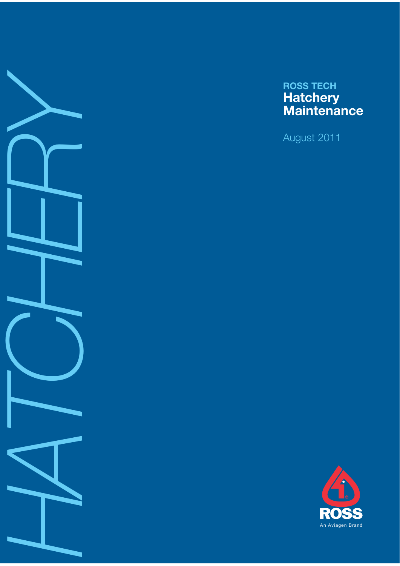

# **ROSS TECH Hatchery Maintenance**

August 2011

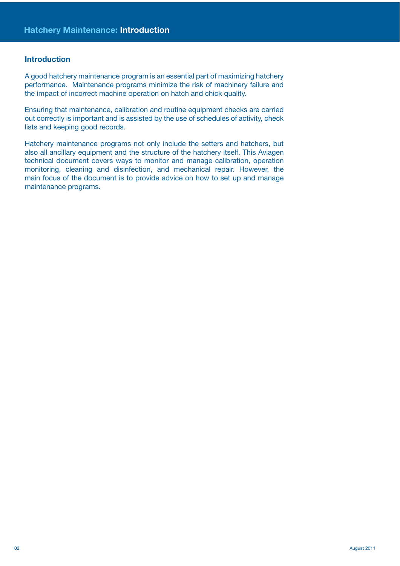#### **Introduction**

A good hatchery maintenance program is an essential part of maximizing hatchery performance. Maintenance programs minimize the risk of machinery failure and the impact of incorrect machine operation on hatch and chick quality.

Ensuring that maintenance, calibration and routine equipment checks are carried out correctly is important and is assisted by the use of schedules of activity, check lists and keeping good records.

Hatchery maintenance programs not only include the setters and hatchers, but also all ancillary equipment and the structure of the hatchery itself. This Aviagen technical document covers ways to monitor and manage calibration, operation monitoring, cleaning and disinfection, and mechanical repair. However, the main focus of the document is to provide advice on how to set up and manage maintenance programs.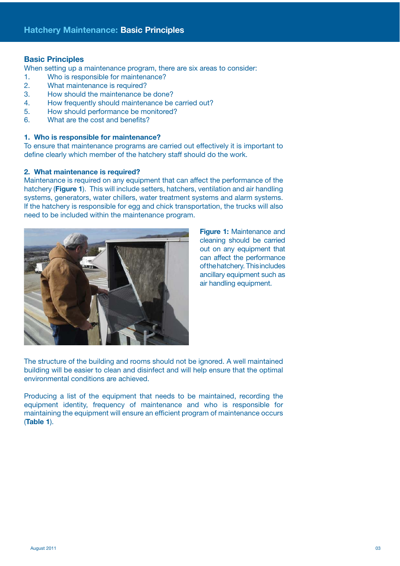#### **Basic Principles**

When setting up a maintenance program, there are six areas to consider:

- 1. Who is responsible for maintenance?
- 2. What maintenance is required?
- 3. How should the maintenance be done?
- 4. How frequently should maintenance be carried out?
- 5. How should performance be monitored?
- 6. What are the cost and benefits?

#### **1. Who is responsible for maintenance?**

To ensure that maintenance programs are carried out effectively it is important to define clearly which member of the hatchery staff should do the work.

#### **2. What maintenance is required?**

Maintenance is required on any equipment that can affect the performance of the hatchery (**Figure 1**). This will include setters, hatchers, ventilation and air handling systems, generators, water chillers, water treatment systems and alarm systems. If the hatchery is responsible for egg and chick transportation, the trucks will also need to be included within the maintenance program.



**Figure 1:** Maintenance and cleaning should be carried out on any equipment that can affect the performance of the hatchery. This includes ancillary equipment such as air handling equipment.

The structure of the building and rooms should not be ignored. A well maintained building will be easier to clean and disinfect and will help ensure that the optimal environmental conditions are achieved.

Producing a list of the equipment that needs to be maintained, recording the equipment identity, frequency of maintenance and who is responsible for maintaining the equipment will ensure an efficient program of maintenance occurs (**Table 1**).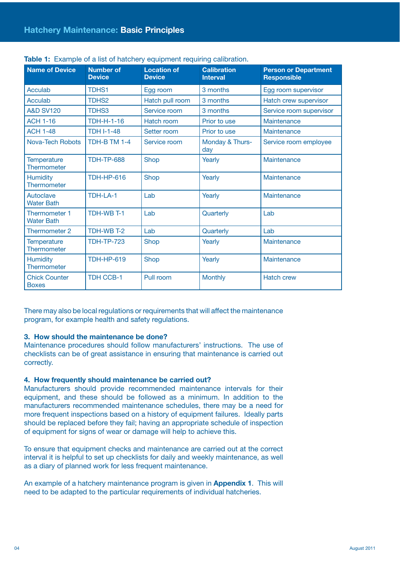| <b>Name of Device</b>                     | <b>Number of</b><br><b>Device</b> | <b>Location of</b><br><b>Device</b> | <b>Calibration</b><br><b>Interval</b> | <b>Person or Department</b><br><b>Responsible</b> |
|-------------------------------------------|-----------------------------------|-------------------------------------|---------------------------------------|---------------------------------------------------|
| Acculab                                   | <b>TDHS1</b>                      | Egg room                            | 3 months                              | Egg room supervisor                               |
| Acculab                                   | TDHS <sub>2</sub>                 | Hatch pull room                     | 3 months                              | Hatch crew supervisor                             |
| <b>A&amp;D SV120</b>                      | <b>TDHS3</b>                      | Service room                        | 3 months                              | Service room supervisor                           |
| <b>ACH 1-16</b>                           | <b>TDH-H-1-16</b>                 | Hatch room                          | Prior to use                          | Maintenance                                       |
| <b>ACH 1-48</b>                           | <b>TDH I-1-48</b>                 | Setter room                         | Prior to use                          | Maintenance                                       |
| <b>Nova-Tech Robots</b>                   | TDH-B TM 1-4                      | Service room                        | Monday & Thurs-<br>day                | Service room employee                             |
| <b>Temperature</b><br>Thermometer         | <b>TDH-TP-688</b>                 | Shop                                | Yearly                                | Maintenance                                       |
| <b>Humidity</b><br>Thermometer            | <b>TDH-HP-616</b>                 | Shop                                | Yearly                                | Maintenance                                       |
| Autoclave<br><b>Water Bath</b>            | TDH-LA-1                          | Lab                                 | Yearly                                | Maintenance                                       |
| <b>Thermometer 1</b><br><b>Water Bath</b> | <b>TDH-WB T-1</b>                 | Lab                                 | Quarterly                             | Lab                                               |
| Thermometer 2                             | TDH-WB T-2                        | Lab                                 | Quarterly                             | Lab                                               |
| <b>Temperature</b><br>Thermometer         | <b>TDH-TP-723</b>                 | Shop                                | Yearly                                | Maintenance                                       |
| <b>Humidity</b><br>Thermometer            | <b>TDH-HP-619</b>                 | Shop                                | Yearly                                | Maintenance                                       |
| <b>Chick Counter</b><br><b>Boxes</b>      | <b>TDH CCB-1</b>                  | Pull room                           | <b>Monthly</b>                        | <b>Hatch crew</b>                                 |

**Table 1:** Example of a list of hatchery equipment requiring calibration.

There may also be local regulations or requirements that will affect the maintenance program, for example health and safety regulations.

#### **3. How should the maintenance be done?**

Maintenance procedures should follow manufacturers' instructions. The use of checklists can be of great assistance in ensuring that maintenance is carried out correctly.

# **4. How frequently should maintenance be carried out?**

Manufacturers should provide recommended maintenance intervals for their equipment, and these should be followed as a minimum. In addition to the manufacturers recommended maintenance schedules, there may be a need for more frequent inspections based on a history of equipment failures. Ideally parts should be replaced before they fail; having an appropriate schedule of inspection of equipment for signs of wear or damage will help to achieve this.

To ensure that equipment checks and maintenance are carried out at the correct interval it is helpful to set up checklists for daily and weekly maintenance, as well as a diary of planned work for less frequent maintenance.

An example of a hatchery maintenance program is given in **Appendix 1**. This will need to be adapted to the particular requirements of individual hatcheries.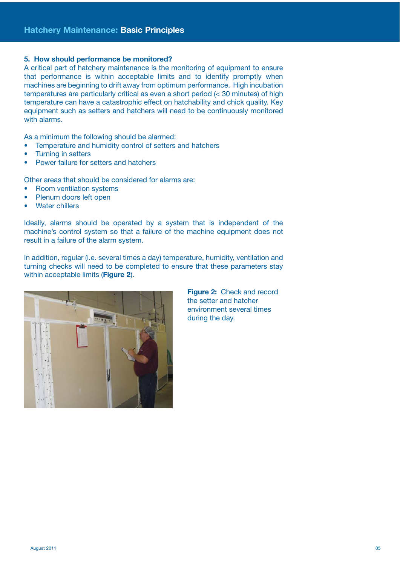#### **5. How should performance be monitored?**

A critical part of hatchery maintenance is the monitoring of equipment to ensure that performance is within acceptable limits and to identify promptly when machines are beginning to drift away from optimum performance. High incubation temperatures are particularly critical as even a short period (< 30 minutes) of high temperature can have a catastrophic effect on hatchability and chick quality. Key equipment such as setters and hatchers will need to be continuously monitored with alarms.

As a minimum the following should be alarmed:

- Temperature and humidity control of setters and hatchers
- Turning in setters
- Power failure for setters and hatchers

Other areas that should be considered for alarms are:

- Room ventilation systems
- Plenum doors left open
- Water chillers

Ideally, alarms should be operated by a system that is independent of the machine's control system so that a failure of the machine equipment does not result in a failure of the alarm system.

In addition, regular (i.e. several times a day) temperature, humidity, ventilation and turning checks will need to be completed to ensure that these parameters stay within acceptable limits (**Figure 2**).



**Figure 2:** Check and record the setter and hatcher environment several times during the day.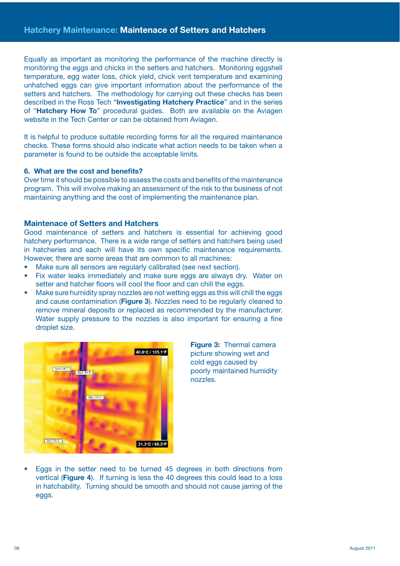Equally as important as monitoring the performance of the machine directly is monitoring the eggs and chicks in the setters and hatchers. Monitoring eggshell temperature, egg water loss, chick yield, chick vent temperature and examining unhatched eggs can give important information about the performance of the setters and hatchers. The methodology for carrying out these checks has been described in the Ross Tech "**Investigating Hatchery Practice**" and in the series of "**Hatchery How To**" procedural guides. Both are available on the Aviagen website in the Tech Center or can be obtained from Aviagen.

It is helpful to produce suitable recording forms for all the required maintenance checks. These forms should also indicate what action needs to be taken when a parameter is found to be outside the acceptable limits.

#### **6. What are the cost and benefits?**

Over time it should be possible to assess the costs and benefits of the maintenance program. This will involve making an assessment of the risk to the business of not maintaining anything and the cost of implementing the maintenance plan.

#### **Maintenace of Setters and Hatchers**

Good maintenance of setters and hatchers is essential for achieving good hatchery performance. There is a wide range of setters and hatchers being used in hatcheries and each will have its own specific maintenance requirements. However, there are some areas that are common to all machines:

Make sure all sensors are regularly calibrated (see next section).

- Fix water leaks immediately and make sure eggs are always dry. Water on setter and hatcher floors will cool the floor and can chill the eggs.
- Make sure humidity spray nozzles are not wetting eggs as this will chill the eggs and cause contamination (**Figure 3**). Nozzles need to be regularly cleaned to remove mineral deposits or replaced as recommended by the manufacturer. Water supply pressure to the nozzles is also important for ensuring a fine droplet size.



**Figure 3:** Thermal camera picture showing wet and cold eggs caused by poorly maintained humidity nozzles.

• Eggs in the setter need to be turned 45 degrees in both directions from vertical (**Figure 4**). If turning is less the 40 degrees this could lead to a loss in hatchability. Turning should be smooth and should not cause jarring of the eggs.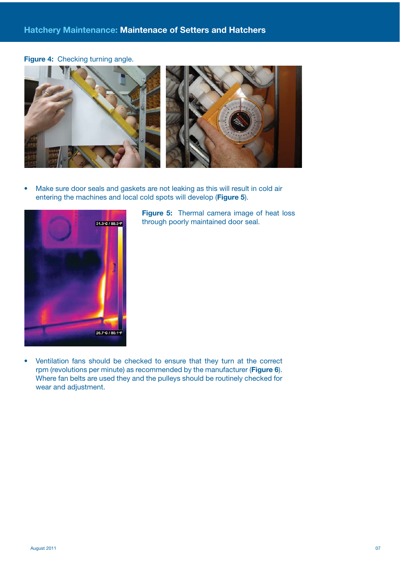**Figure 4:** Checking turning angle.



• Make sure door seals and gaskets are not leaking as this will result in cold air entering the machines and local cold spots will develop (**Figure 5**).



**Figure 5:** Thermal camera image of heat loss through poorly maintained door seal.

• Ventilation fans should be checked to ensure that they turn at the correct rpm (revolutions per minute) as recommended by the manufacturer (**Figure 6**). Where fan belts are used they and the pulleys should be routinely checked for wear and adjustment.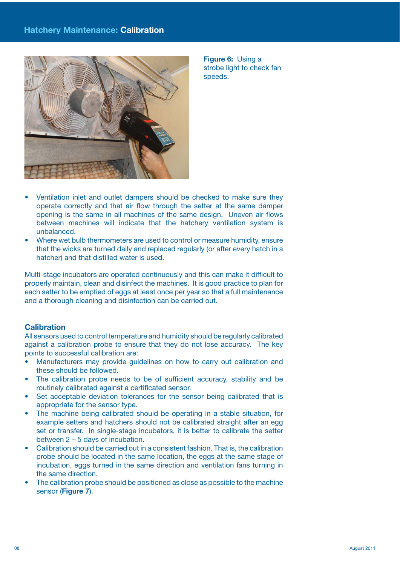

**Figure 6:** Using a strobe light to check fan speeds.

- Ventilation inlet and outlet dampers should be checked to make sure they operate correctly and that air flow through the setter at the same damper opening is the same in all machines of the same design. Uneven air flows between machines will indicate that the hatchery ventilation system is unbalanced.
- Where wet bulb thermometers are used to control or measure humidity, ensure that the wicks are turned daily and replaced regularly (or after every hatch in a hatcher) and that distilled water is used.

Multi-stage incubators are operated continuously and this can make it difficult to properly maintain, clean and disinfect the machines. It is good practice to plan for each setter to be emptied of eggs at least once per year so that a full maintenance and a thorough cleaning and disinfection can be carried out.

# **Calibration**

All sensors used to control temperature and humidity should be regularly calibrated against a calibration probe to ensure that they do not lose accuracy. The key points to successful calibration are:

- Manufacturers may provide guidelines on how to carry out calibration and these should be followed.
- The calibration probe needs to be of sufficient accuracy, stability and be routinely calibrated against a certificated sensor.
- Set acceptable deviation tolerances for the sensor being calibrated that is appropriate for the sensor type.
- The machine being calibrated should be operating in a stable situation, for example setters and hatchers should not be calibrated straight after an egg set or transfer. In single-stage incubators, it is better to calibrate the setter between 2 – 5 days of incubation.
- Calibration should be carried out in a consistent fashion. That is, the calibration probe should be located in the same location, the eggs at the same stage of incubation, eggs turned in the same direction and ventilation fans turning in the same direction.
- The calibration probe should be positioned as close as possible to the machine sensor (**Figure 7**).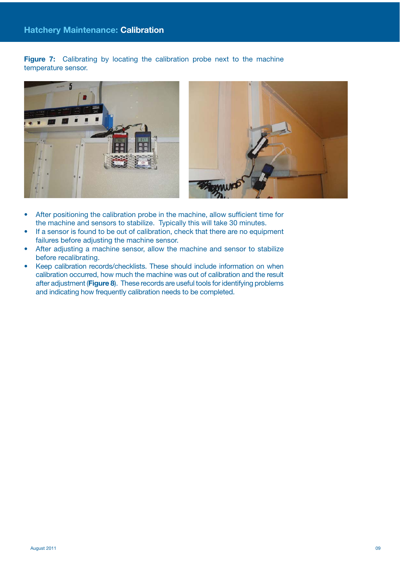**Figure 7:** Calibrating by locating the calibration probe next to the machine temperature sensor.





- After positioning the calibration probe in the machine, allow sufficient time for the machine and sensors to stabilize. Typically this will take 30 minutes.
- If a sensor is found to be out of calibration, check that there are no equipment failures before adjusting the machine sensor.
- After adjusting a machine sensor, allow the machine and sensor to stabilize before recalibrating.
- Keep calibration records/checklists. These should include information on when calibration occurred, how much the machine was out of calibration and the result after adjustment (**Figure 8**). These records are useful tools for identifying problems and indicating how frequently calibration needs to be completed.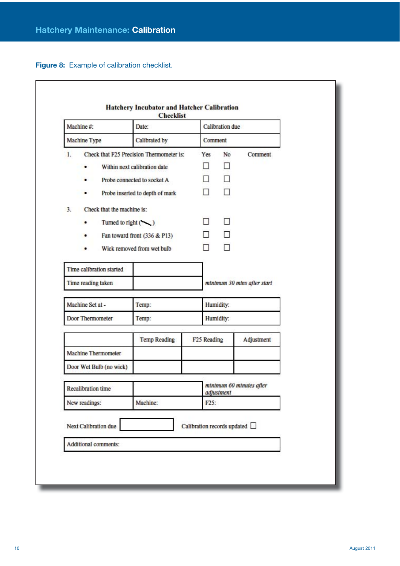**Figure 8:** Example of calibration checklist.

| Machine #:                       | Date:                                    | Calibration due                        |         |                             |
|----------------------------------|------------------------------------------|----------------------------------------|---------|-----------------------------|
| Machine Type                     | Calibrated by                            |                                        | Comment |                             |
| $\mathbf{1}$ .                   | Check that F25 Precision Thermometer is: | Yes                                    | No      | Comment                     |
| ٠                                | Within next calibration date             | П                                      | П       |                             |
| ٠                                | Probe connected to socket A              | П                                      |         |                             |
| ٠                                | Probe inserted to depth of mark          | $\Box$                                 | п       |                             |
| Check that the machine is:<br>3. |                                          |                                        |         |                             |
| ٠                                | Turned to right $($                      | П                                      | п       |                             |
| ٠                                | Fan toward front (336 & P13)             | $\Box$                                 | П       |                             |
| ٠                                | Wick removed from wet bulb               | П                                      | п       |                             |
|                                  |                                          |                                        |         |                             |
| Time calibration started         |                                          |                                        |         |                             |
| Time reading taken               |                                          |                                        |         | minimum 30 mins after start |
| Machine Set at -                 | Temp:                                    | Humidity:                              |         |                             |
| Door Thermometer                 | Temp:                                    | Humidity:                              |         |                             |
|                                  | <b>Temp Reading</b>                      | F <sub>25</sub> Reading                |         | Adjustment                  |
| Machine Thermometer              |                                          |                                        |         |                             |
| Door Wet Bulb (no wick)          |                                          |                                        |         |                             |
| <b>Recalibration time</b>        |                                          | minimum 60 minutes after<br>adjustment |         |                             |
| New readings:<br>Machine:        |                                          | F <sub>25</sub> :                      |         |                             |
| Next Calibration due             |                                          | Calibration records updated            |         |                             |
| Additional comments:             |                                          |                                        |         |                             |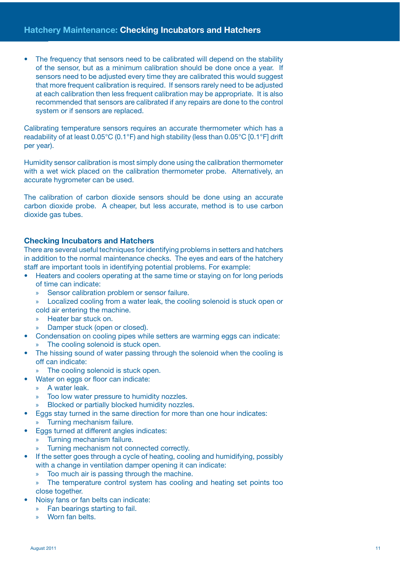The frequency that sensors need to be calibrated will depend on the stability of the sensor, but as a minimum calibration should be done once a year. If sensors need to be adjusted every time they are calibrated this would suggest that more frequent calibration is required. If sensors rarely need to be adjusted at each calibration then less frequent calibration may be appropriate. It is also recommended that sensors are calibrated if any repairs are done to the control system or if sensors are replaced.

Calibrating temperature sensors requires an accurate thermometer which has a readability of at least 0.05°C (0.1°F) and high stability (less than 0.05°C [0.1°F] drift per year).

Humidity sensor calibration is most simply done using the calibration thermometer with a wet wick placed on the calibration thermometer probe. Alternatively, an accurate hygrometer can be used.

The calibration of carbon dioxide sensors should be done using an accurate carbon dioxide probe. A cheaper, but less accurate, method is to use carbon dioxide gas tubes.

# **Checking Incubators and Hatchers**

There are several useful techniques for identifying problems in setters and hatchers in addition to the normal maintenance checks. The eyes and ears of the hatchery staff are important tools in identifying potential problems. For example:

- Heaters and coolers operating at the same time or staying on for long periods of time can indicate:
	- » Sensor calibration problem or sensor failure.
	- » Localized cooling from a water leak, the cooling solenoid is stuck open or cold air entering the machine.
	- » Heater bar stuck on.
	- » Damper stuck (open or closed).
- Condensation on cooling pipes while setters are warming eggs can indicate: » The cooling solenoid is stuck open.
- The hissing sound of water passing through the solenoid when the cooling is off can indicate:
	- » The cooling solenoid is stuck open.
- Water on eggs or floor can indicate:
	- » A water leak.
	- » Too low water pressure to humidity nozzles.
	- » Blocked or partially blocked humidity nozzles.
- Eggs stay turned in the same direction for more than one hour indicates: » Turning mechanism failure.
- Eggs turned at different angles indicates:
	- » Turning mechanism failure.
	- » Turning mechanism not connected correctly.
- If the setter goes through a cycle of heating, cooling and humidifying, possibly with a change in ventilation damper opening it can indicate:
	- » Too much air is passing through the machine.
	- » The temperature control system has cooling and heating set points too close together.
- Noisy fans or fan belts can indicate:
	- » Fan bearings starting to fail.
	- » Worn fan belts.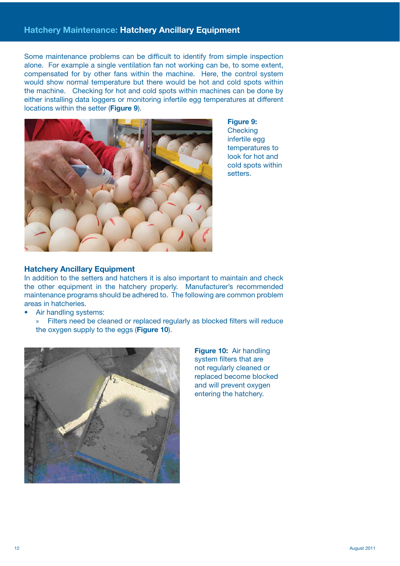Some maintenance problems can be difficult to identify from simple inspection alone. For example a single ventilation fan not working can be, to some extent, compensated for by other fans within the machine. Here, the control system would show normal temperature but there would be hot and cold spots within the machine. Checking for hot and cold spots within machines can be done by either installing data loggers or monitoring infertile egg temperatures at different locations within the setter (**Figure 9**).



**Figure 9: Checking** infertile egg temperatures to look for hot and cold spots within setters.

# **Hatchery Ancillary Equipment**

In addition to the setters and hatchers it is also important to maintain and check the other equipment in the hatchery properly. Manufacturer's recommended maintenance programs should be adhered to. The following are common problem areas in hatcheries.

- Air handling systems:
	- » Filters need be cleaned or replaced regularly as blocked filters will reduce the oxygen supply to the eggs (**Figure 10**).



**Figure 10:** Air handling system filters that are not regularly cleaned or replaced become blocked and will prevent oxygen entering the hatchery.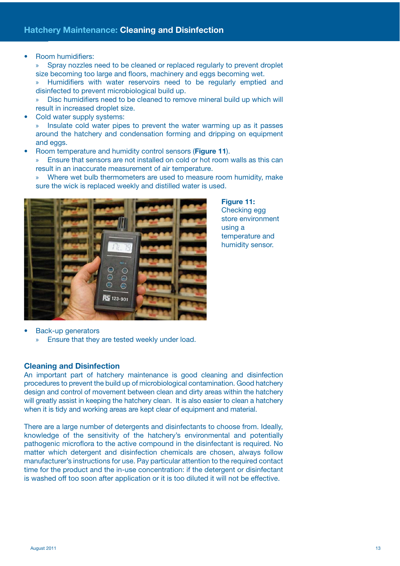• Room humidifiers:

» Spray nozzles need to be cleaned or replaced regularly to prevent droplet size becoming too large and floors, machinery and eggs becoming wet.

» Humidifiers with water reservoirs need to be regularly emptied and disinfected to prevent microbiological build up.

» Disc humidifiers need to be cleaned to remove mineral build up which will result in increased droplet size.

Cold water supply systems:

» Insulate cold water pipes to prevent the water warming up as it passes around the hatchery and condensation forming and dripping on equipment and eggs.

• Room temperature and humidity control sensors (**Figure 11**).

» Ensure that sensors are not installed on cold or hot room walls as this can result in an inaccurate measurement of air temperature.

» Where wet bulb thermometers are used to measure room humidity, make sure the wick is replaced weekly and distilled water is used.



**Figure 11:** Checking egg store environment using a temperature and humidity sensor.

• Back-up generators

» Ensure that they are tested weekly under load.

#### **Cleaning and Disinfection**

An important part of hatchery maintenance is good cleaning and disinfection procedures to prevent the build up of microbiological contamination. Good hatchery design and control of movement between clean and dirty areas within the hatchery will greatly assist in keeping the hatchery clean. It is also easier to clean a hatchery when it is tidy and working areas are kept clear of equipment and material.

There are a large number of detergents and disinfectants to choose from. Ideally, knowledge of the sensitivity of the hatchery's environmental and potentially pathogenic microflora to the active compound in the disinfectant is required. No matter which detergent and disinfection chemicals are chosen, always follow manufacturer's instructions for use. Pay particular attention to the required contact time for the product and the in-use concentration: if the detergent or disinfectant is washed off too soon after application or it is too diluted it will not be effective.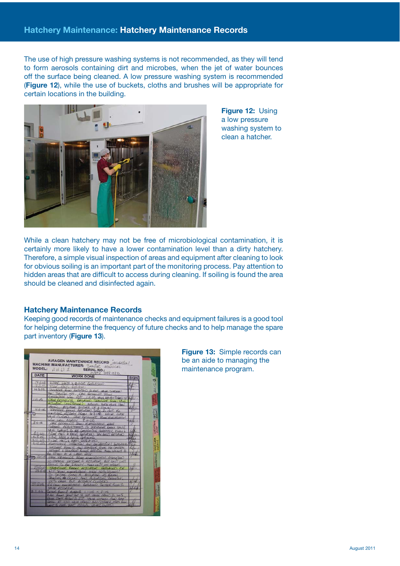The use of high pressure washing systems is not recommended, as they will tend to form aerosols containing dirt and microbes, when the jet of water bounces off the surface being cleaned. A low pressure washing system is recommended (**Figure 12**), while the use of buckets, cloths and brushes will be appropriate for certain locations in the building.



**Figure 12:** Using a low pressure washing system to clean a hatcher.

While a clean hatchery may not be free of microbiological contamination, it is certainly more likely to have a lower contamination level than a dirty hatchery. Therefore, a simple visual inspection of areas and equipment after cleaning to look for obvious soiling is an important part of the monitoring process. Pay attention to hidden areas that are difficult to access during cleaning. If soiling is found the area should be cleaned and disinfected again.

# **Hatchery Maintenance Records**

Keeping good records of maintenance checks and equipment failures is a good tool for helping determine the frequency of future checks and to help manage the spare part inventory (**Figure 13**).

|                            | MODEL: $A H U L$<br><b>SERIAL NO.:</b><br>599996                                             |             |
|----------------------------|----------------------------------------------------------------------------------------------|-------------|
| DATE                       | <b>WORK DONE</b>                                                                             | <b>SIGN</b> |
| 14104                      | FINE HES & BAGS LEARCED                                                                      |             |
|                            | $-40022$<br><b>VEH ACED</b>                                                                  |             |
| 14.3.05                    | TRANSFER ROOM PRESERVED TO HOP. WHE CHECKER.                                                 |             |
|                            | Not SHUTING OFF, ONE ROOMBLES Float                                                          |             |
|                            | ELECTROPHERY WITH 1.4-06 VALUE NACHOT WEEKD OF                                               |             |
| 14.05                      | DAVE REVHOLDS REFLACED TRANSFER FOOLIVANS                                                    |             |
|                            | Accuration (ODC Stock) MANUAL GATE VALUE THEO)                                               |             |
|                            | chase toward Novel UP & Based.                                                               |             |
| 44.406                     | TRANSPER ROOM REPORTED STILL TO HOT NO                                                       |             |
|                            | Conserval without Plane 31306 MANAL COME                                                     |             |
|                            | HOLE CLORED, LANG REVINCIO? PLEALENCERED                                                     |             |
| $8 - 4 - 66$               | 1541 CALL AGAIN 8-4-06                                                                       |             |
|                            | DAYS REVIEW DO SHOW ELECTROTECH LIBRE                                                        |             |
|                            | FURZIER ADSULTHINGS TO TEATHERER ROOM VALVE                                                  |             |
| BEDE                       | VAVE SERVES TO BE CONTROLLING CORRECTLY MODES                                                |             |
|                            | FILED HICH & BAGS VEHICLED. THE BEGIS VERIFIED                                               |             |
| 5805                       | FILL PASS & PASS REPLACED                                                                    |             |
| $31 - 05$<br>$5.19 - 0.52$ | $-1400$<br>L HATCHERLAND                                                                     |             |
|                            | INSTRUCTION AND CALIBRATICAL ROPERSION                                                       |             |
|                            | HAZLER ROCKER AND TRANSFOR ROCKE NO CONTROL<br>HIZINE A TRAVISER ROOMS RECYCLE NEW VALUES TO |             |
|                            | 1 LATER DATE                                                                                 |             |
| $2100 - 5$                 | ANE PETHOLOG ROCK ELECTROPECH ATRIVITY                                                       |             |
|                            | TO CHANGE WICKER 2 ACTUATOR, OUT UNIT WAS                                                    |             |
|                            | JOULE TO BE THERM, NOW ONLY ON OPENS                                                         |             |
| 231200                     | TRAHLIGH ROCH ACTIVATOR HAPLACED OR                                                          |             |
| 73.120                     | OF ROAD MOTORCOCH WHO ADSORDERS                                                              |             |
|                            | SATTER VICES 3<br>Accuración de Karall                                                       |             |
|                            | JOING & COLD AND ACTIVITY SHOWING                                                            |             |
|                            | lock offer but detailer closed                                                               |             |
| $29.0 - 5$                 | DR FROM FORTHERH. REPLACED SETTING RECULS                                                    |             |
|                            | <b>VALUE POTTY TOP.</b>                                                                      |             |
| 5.166                      | Settled Roome 3 ALARME 1.1105 F. RILES                                                       |             |
|                            | 6 AM ROOM ZONE SOT TO HOP. WE'LL CRONE TO LOOK                                               |             |
|                            | THUS THAN 18867 TO 23' YALYS OPED MA SEAT                                                    |             |
|                            | FELL, AT 1150 YAVE OPKIND AND PIAGED OPEN ROOM                                               |             |
|                            | MANUM VILLES CLOSED<br>LIGHT TO DUR TION                                                     |             |

**Figure 13:** Simple records can be an aide to managing the maintenance program.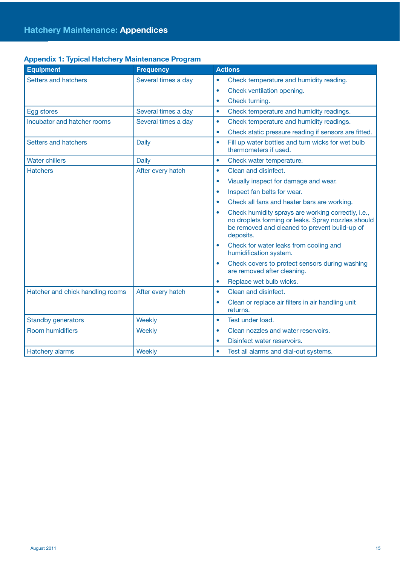| <b>Equipment</b>                 | <b>Frequency</b>    | <b>Actions</b>                                                                                                                                                         |
|----------------------------------|---------------------|------------------------------------------------------------------------------------------------------------------------------------------------------------------------|
| Setters and hatchers             | Several times a day | Check temperature and humidity reading.<br>$\bullet$                                                                                                                   |
|                                  |                     | Check ventilation opening.<br>$\bullet$                                                                                                                                |
|                                  |                     | Check turning.<br>$\bullet$                                                                                                                                            |
| Egg stores                       | Several times a day | Check temperature and humidity readings.<br>$\bullet$                                                                                                                  |
| Incubator and hatcher rooms      | Several times a day | Check temperature and humidity readings.<br>$\bullet$                                                                                                                  |
|                                  |                     | Check static pressure reading if sensors are fitted.<br>$\bullet$                                                                                                      |
| Setters and hatchers             | <b>Daily</b>        | Fill up water bottles and turn wicks for wet bulb<br>$\bullet$<br>thermometers if used.                                                                                |
| <b>Water chillers</b>            | <b>Daily</b>        | Check water temperature.<br>$\bullet$                                                                                                                                  |
| <b>Hatchers</b>                  | After every hatch   | Clean and disinfect.<br>$\bullet$                                                                                                                                      |
|                                  |                     | Visually inspect for damage and wear.<br>$\bullet$                                                                                                                     |
|                                  |                     | Inspect fan belts for wear.<br>$\bullet$                                                                                                                               |
|                                  |                     | Check all fans and heater bars are working.                                                                                                                            |
|                                  |                     | Check humidity sprays are working correctly, i.e.,<br>no droplets forming or leaks. Spray nozzles should<br>be removed and cleaned to prevent build-up of<br>deposits. |
|                                  |                     | Check for water leaks from cooling and<br>humidification system.                                                                                                       |
|                                  |                     | Check covers to protect sensors during washing<br>are removed after cleaning.                                                                                          |
|                                  |                     | Replace wet bulb wicks.<br>$\bullet$                                                                                                                                   |
| Hatcher and chick handling rooms | After every hatch   | Clean and disinfect.<br>$\bullet$                                                                                                                                      |
|                                  |                     | Clean or replace air filters in air handling unit<br>$\bullet$<br>returns.                                                                                             |
| <b>Standby generators</b>        | Weekly              | Test under load.<br>$\bullet$                                                                                                                                          |
| <b>Room humidifiers</b>          | Weekly              | Clean nozzles and water reservoirs.<br>$\bullet$                                                                                                                       |
|                                  |                     | Disinfect water reservoirs.                                                                                                                                            |
| <b>Hatchery alarms</b>           | Weekly              | Test all alarms and dial-out systems.<br>$\bullet$                                                                                                                     |

# **Appendix 1: Typical Hatchery Maintenance Program**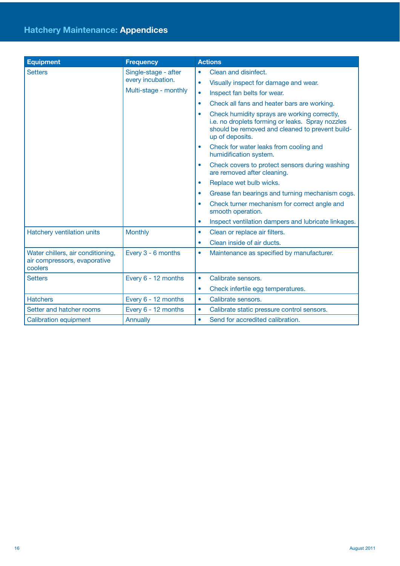| <b>Equipment</b>                                                             | <b>Frequency</b>                                                   | <b>Actions</b>                                                                                                                                                         |
|------------------------------------------------------------------------------|--------------------------------------------------------------------|------------------------------------------------------------------------------------------------------------------------------------------------------------------------|
| <b>Setters</b>                                                               | Single-stage - after<br>every incubation.<br>Multi-stage - monthly | Clean and disinfect.<br>$\bullet$                                                                                                                                      |
|                                                                              |                                                                    | Visually inspect for damage and wear.<br>$\bullet$                                                                                                                     |
|                                                                              |                                                                    | Inspect fan belts for wear.<br>$\bullet$                                                                                                                               |
|                                                                              |                                                                    | Check all fans and heater bars are working.<br>٠                                                                                                                       |
|                                                                              |                                                                    | Check humidity sprays are working correctly,<br>i.e. no droplets forming or leaks. Spray nozzles<br>should be removed and cleaned to prevent build-<br>up of deposits. |
|                                                                              |                                                                    | Check for water leaks from cooling and<br>humidification system.                                                                                                       |
|                                                                              |                                                                    | Check covers to protect sensors during washing<br>$\bullet$<br>are removed after cleaning.                                                                             |
|                                                                              |                                                                    | Replace wet bulb wicks.<br>۰                                                                                                                                           |
|                                                                              |                                                                    | Grease fan bearings and turning mechanism cogs.<br>٠                                                                                                                   |
|                                                                              |                                                                    | Check turner mechanism for correct angle and<br>smooth operation.                                                                                                      |
|                                                                              |                                                                    | Inspect ventilation dampers and lubricate linkages.<br>$\bullet$                                                                                                       |
| Hatchery ventilation units                                                   | <b>Monthly</b>                                                     | Clean or replace air filters.<br>$\bullet$                                                                                                                             |
|                                                                              |                                                                    | Clean inside of air ducts.<br>۰                                                                                                                                        |
| Water chillers, air conditioning,<br>air compressors, evaporative<br>coolers | Every 3 - 6 months                                                 | Maintenance as specified by manufacturer.<br>$\bullet$                                                                                                                 |
| <b>Setters</b>                                                               | Every 6 - 12 months                                                | Calibrate sensors.<br>$\bullet$                                                                                                                                        |
|                                                                              |                                                                    | Check infertile egg temperatures.<br>$\bullet$                                                                                                                         |
| <b>Hatchers</b>                                                              | Every 6 - 12 months                                                | Calibrate sensors.<br>$\bullet$                                                                                                                                        |
| Setter and hatcher rooms                                                     | Every 6 - 12 months                                                | Calibrate static pressure control sensors.<br>$\bullet$                                                                                                                |
| <b>Calibration equipment</b>                                                 | Annually                                                           | Send for accredited calibration.<br>٠                                                                                                                                  |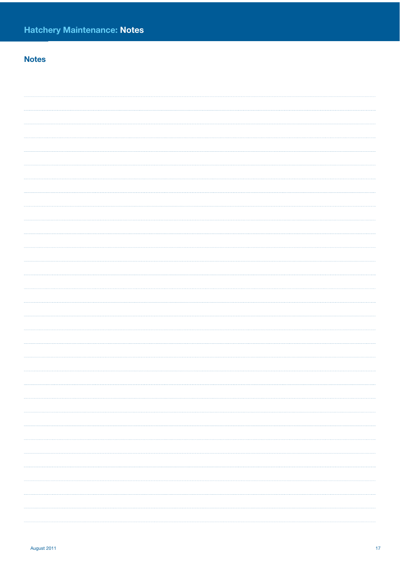# **Notes**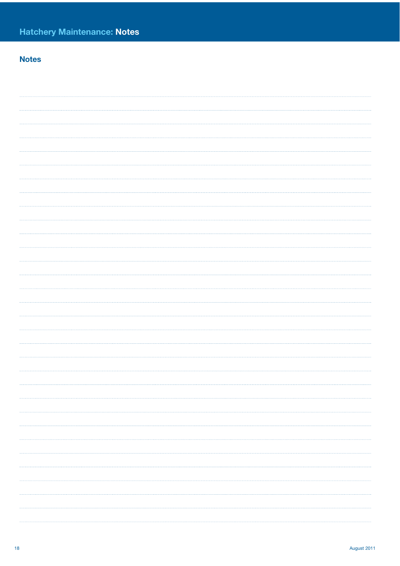# **Notes**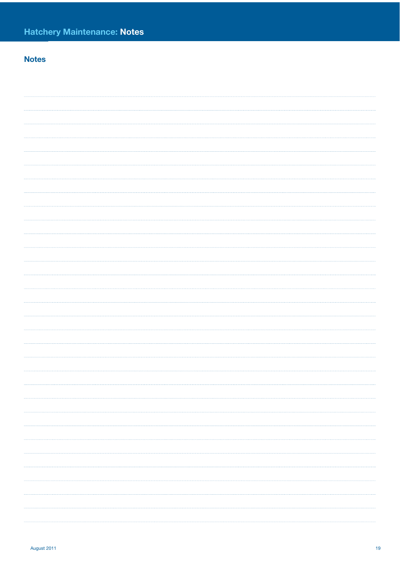# **Notes**